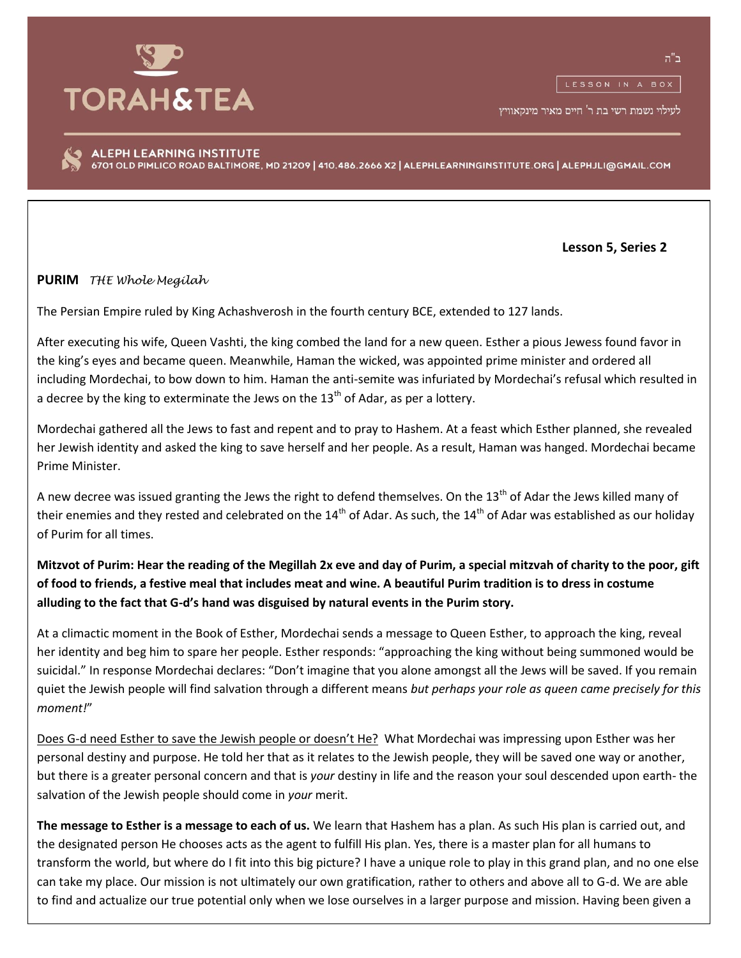

לעילוי נשמת רשי בת ר' חיים מאיר מינקאוויץ

ALEPH LEARNING INSTITUTE 6701 OLD PIMLICO ROAD BALTIMORE, MD 21209 | 410.486.2666 X2 | ALEPHLEARNINGINSTITUTE.ORG | ALEPHJLI@GMAIL.COM

 **Lesson 5, Series 2**

**PURIM** *THE Whole Megilah*

The Persian Empire ruled by King Achashverosh in the fourth century BCE, extended to 127 lands.

After executing his wife, Queen Vashti, the king combed the land for a new queen. Esther a pious Jewess found favor in the king's eyes and became queen. Meanwhile, Haman the wicked, was appointed prime minister and ordered all including Mordechai, to bow down to him. Haman the anti-semite was infuriated by Mordechai's refusal which resulted in a decree by the king to exterminate the Jews on the  $13<sup>th</sup>$  of Adar, as per a lottery.

Mordechai gathered all the Jews to fast and repent and to pray to Hashem. At a feast which Esther planned, she revealed her Jewish identity and asked the king to save herself and her people. As a result, Haman was hanged. Mordechai became Prime Minister.

A new decree was issued granting the Jews the right to defend themselves. On the 13<sup>th</sup> of Adar the Jews killed many of their enemies and they rested and celebrated on the 14<sup>th</sup> of Adar. As such, the 14<sup>th</sup> of Adar was established as our holiday of Purim for all times.

**Mitzvot of Purim: Hear the reading of the Megillah 2x eve and day of Purim, a special mitzvah of charity to the poor, gift of food to friends, a festive meal that includes meat and wine. A beautiful Purim tradition is to dress in costume alluding to the fact that G-d's hand was disguised by natural events in the Purim story.**

At a climactic moment in the Book of Esther, Mordechai sends a message to Queen Esther, to approach the king, reveal her identity and beg him to spare her people. Esther responds: "approaching the king without being summoned would be suicidal." In response Mordechai declares: "Don't imagine that you alone amongst all the Jews will be saved. If you remain quiet the Jewish people will find salvation through a different means *but perhaps your role as queen came precisely for this moment!*"

Does G-d need Esther to save the Jewish people or doesn't He? What Mordechai was impressing upon Esther was her personal destiny and purpose. He told her that as it relates to the Jewish people, they will be saved one way or another, but there is a greater personal concern and that is *your* destiny in life and the reason your soul descended upon earth- the salvation of the Jewish people should come in *your* merit.

**The message to Esther is a message to each of us.** We learn that Hashem has a plan. As such His plan is carried out, and the designated person He chooses acts as the agent to fulfill His plan. Yes, there is a master plan for all humans to transform the world, but where do I fit into this big picture? I have a unique role to play in this grand plan, and no one else can take my place. Our mission is not ultimately our own gratification, rather to others and above all to G-d. We are able to find and actualize our true potential only when we lose ourselves in a larger purpose and mission. Having been given a

ב"ה